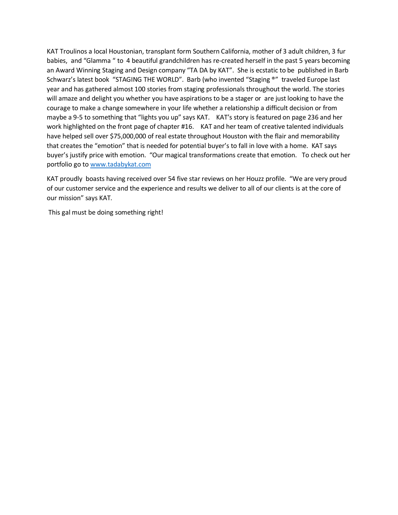KAT Troulinos a local Houstonian, transplant form Southern California, mother of 3 adult children, 3 fur babies, and "Glamma " to 4 beautiful grandchildren has re-created herself in the past 5 years becoming an Award Winning Staging and Design company "TA DA by KAT". She is ecstatic to be published in Barb Schwarz's latest book "STAGING THE WORLD". Barb (who invented "Staging ®" traveled Europe last year and has gathered almost 100 stories from staging professionals throughout the world. The stories will amaze and delight you whether you have aspirations to be a stager or are just looking to have the courage to make a change somewhere in your life whether a relationship a difficult decision or from maybe a 9-5 to something that "lights you up" says KAT. KAT's story is featured on page 236 and her work highlighted on the front page of chapter #16. KAT and her team of creative talented individuals have helped sell over \$75,000,000 of real estate throughout Houston with the flair and memorability that creates the "emotion" that is needed for potential buyer's to fall in love with a home. KAT says buyer's justify price with emotion. "Our magical transformations create that emotion. To check out her portfolio go to [www.tadabykat.com](http://www.tadabykat.com/)

KAT proudly boasts having received over 54 five star reviews on her Houzz profile. "We are very proud of our customer service and the experience and results we deliver to all of our clients is at the core of our mission" says KAT.

This gal must be doing something right!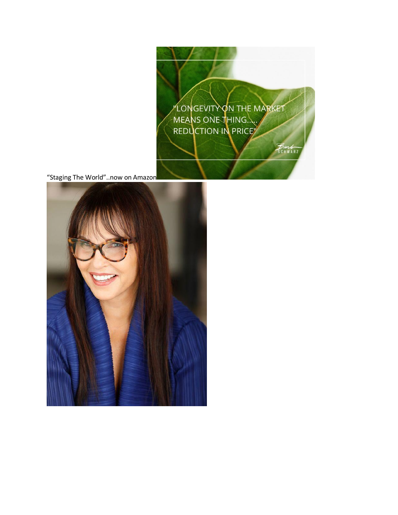LONGEVITY ON THE MARKET MEANS ONE THING.

Barb<br>SCHWARZ

"Staging The World"..now on Amazon